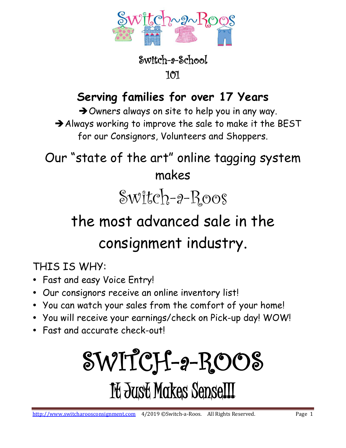

#### **Serving families for over 17 Years**

➔Owners always on site to help you in any way. ➔Always working to improve the sale to make it the BEST

for our Consignors, Volunteers and Shoppers.

Our "state of the art" online tagging system makes

# $\mathcal{SW1}$ tch- $9$ -Roos

## the most advanced sale in the consignment industry.

THIS IS WHY:

- Fast and easy Voice Entry!
- Our consignors receive an online inventory list!
- You can watch your sales from the comfort of your home!
- You will receive your earnings/check on Pick-up day! WOW!
- Fast and accurate check-out!

# SWITCH-a-ROOS It Just Makes Sense!!!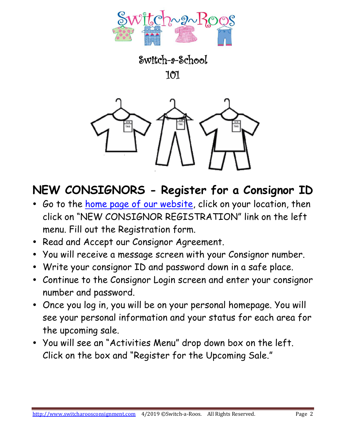

Switch-a-School

101



#### **NEW CONSIGNORS - Register for a Consignor ID**

- Go to the [home page of our website,](http://www.switcharoosconsignment.com/) click on your location, then click on "NEW CONSIGNOR REGISTRATION" link on the left menu. Fill out the Registration form.
- Read and Accept our Consignor Agreement.
- You will receive a message screen with your Consignor number.
- Write your consignor ID and password down in a safe place.
- Continue to the Consignor Login screen and enter your consignor number and password.
- Once you log in, you will be on your personal homepage. You will see your personal information and your status for each area for the upcoming sale.
- You will see an "Activities Menu" drop down box on the left. Click on the box and "Register for the Upcoming Sale."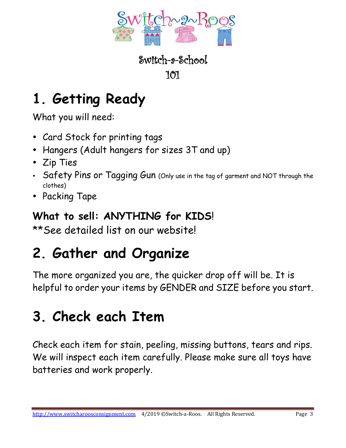

## **1. Getting Ready**

What you will need:

- Card Stock for printing tags
- Hangers (Adult hangers for sizes 3T and up)
- Zip Ties
- Safety Pins or Tagging Gun (Only use in the tag of garment and NOT through the clothes)
- Packing Tape

#### **What to sell: ANYTHING for KIDS**!

\*\*See detailed list on our website!

## **2. Gather and Organize**

The more organized you are, the quicker drop off will be. It is helpful to order your items by GENDER and SIZE before you start.

#### **3. Check each Item**

Check each item for stain, peeling, missing buttons, tears and rips. We will inspect each item carefully. Please make sure all toys have batteries and work properly.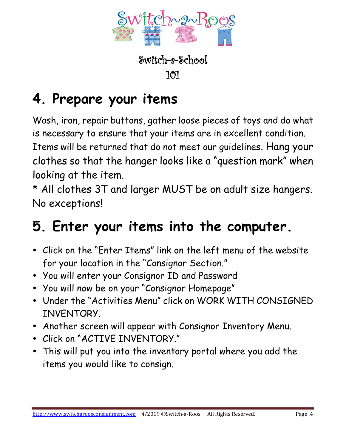

#### **4. Prepare your items**

Wash, iron, repair buttons, gather loose pieces of toys and do what is necessary to ensure that your items are in excellent condition. Items will be returned that do not meet our guidelines. Hang your clothes so that the hanger looks like a "question mark" when looking at the item.

\* All clothes 3T and larger MUST be on adult size hangers. No exceptions!

#### **5. Enter your items into the computer.**

- Click on the "Enter Items" link on the left menu of the website for your location in the "Consignor Section."
- You will enter your Consignor ID and Password
- You will now be on your "Consignor Homepage"
- Under the "Activities Menu" click on WORK WITH CONSIGNED INVENTORY.
- Another screen will appear with Consignor Inventory Menu.
- Click on "ACTIVE INVENTORY."
- This will put you into the inventory portal where you add the items you would like to consign.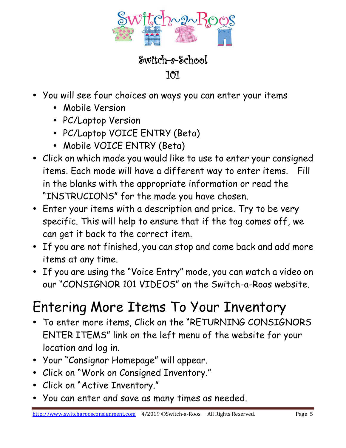

Switch-a-School 101

- You will see four choices on ways you can enter your items
	- Mobile Version
	- PC/Laptop Version
	- PC/Laptop VOICE ENTRY (Beta)
	- Mobile VOICE ENTRY (Beta)
- Click on which mode you would like to use to enter your consigned items. Each mode will have a different way to enter items. Fill in the blanks with the appropriate information or read the "INSTRUCIONS" for the mode you have chosen.
- Enter your items with a description and price. Try to be very specific. This will help to ensure that if the tag comes off, we can get it back to the correct item.
- If you are not finished, you can stop and come back and add more items at any time.
- If you are using the "Voice Entry" mode, you can watch a video on our "CONSIGNOR 101 VIDEOS" on the Switch-a-Roos website.

#### Entering More Items To Your Inventory

- To enter more items, Click on the "RETURNING CONSIGNORS ENTER ITEMS" link on the left menu of the website for your location and log in.
- Your "Consignor Homepage" will appear.
- Click on "Work on Consigned Inventory."
- Click on "Active Inventory."
- You can enter and save as many times as needed.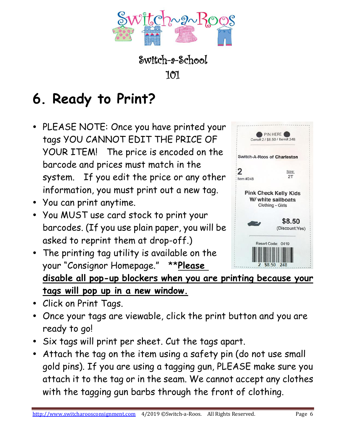

## **6. Ready to Print?**

- PLEASE NOTE: Once you have printed your tags YOU CANNOT EDIT THE PRICE OF YOUR ITEM! The price is encoded on the barcode and prices must match in the system. If you edit the price or any other information, you must print out a new tag.
- You can print anytime.
- You MUST use card stock to print your barcodes. (If you use plain paper, you will be asked to reprint them at drop-off.)
- The printing tag utility is available on the your "Consignor Homepage." \*\***Please**



**disable all pop-up blockers when you are printing because your tags will pop up in a new window.**

- Click on Print Tags.
- Once your tags are viewable, click the print button and you are ready to go!
- Six tags will print per sheet. Cut the tags apart.
- Attach the tag on the item using a safety pin (do not use small gold pins). If you are using a tagging gun, PLEASE make sure you attach it to the tag or in the seam. We cannot accept any clothes with the tagging gun barbs through the front of clothing.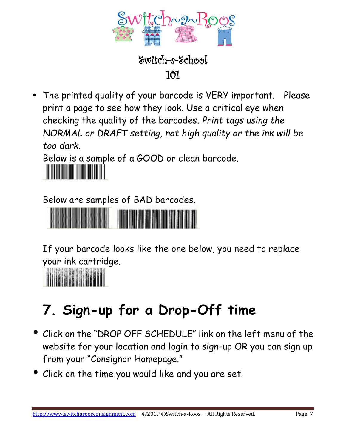

Switch-a-School 101

 The printed quality of your barcode is VERY important. Please print a page to see how they look. Use a critical eye when checking the quality of the barcodes. *Print tags using the NORMAL or DRAFT setting, not high quality or the ink will be too dark.*

Below is a sample of a GOOD or clean barcode.



Below are samples of BAD barcodes.



If your barcode looks like the one below, you need to replace your ink cartridge.



## **7. Sign-up for a Drop-Off time**

- Click on the "DROP OFF SCHEDULE" link on the left menu of the website for your location and login to sign-up OR you can sign up from your "Consignor Homepage."
- Click on the time you would like and you are set!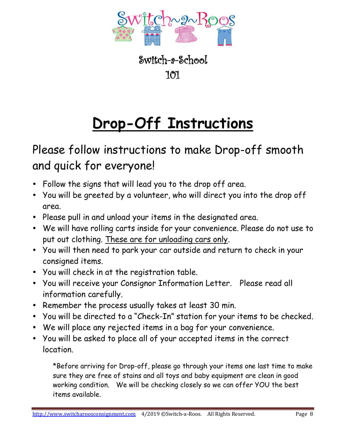

## **Drop-Off Instructions**

Please follow instructions to make Drop-off smooth and quick for everyone!

- Follow the signs that will lead you to the drop off area.
- You will be greeted by a volunteer, who will direct you into the drop off area.
- Please pull in and unload your items in the designated area.
- We will have rolling carts inside for your convenience. Please do not use to put out clothing. These are for unloading cars only.
- You will then need to park your car outside and return to check in your consigned items.
- You will check in at the registration table.
- You will receive your Consignor Information Letter. Please read all information carefully.
- Remember the process usually takes at least 30 min.
- You will be directed to a "Check-In" station for your items to be checked.
- We will place any rejected items in a bag for your convenience.
- You will be asked to place all of your accepted items in the correct location.

\*Before arriving for Drop-off, please go through your items one last time to make sure they are free of stains and all toys and baby equipment are clean in good working condition. We will be checking closely so we can offer YOU the best items available.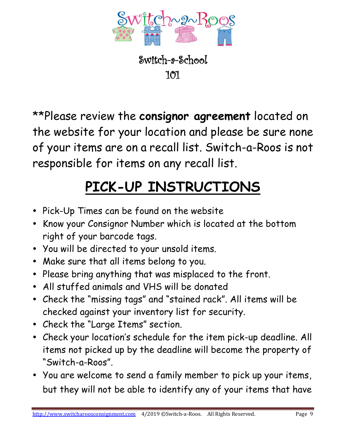

\*\*Please review the **consignor agreement** located on the website for your location and please be sure none of your items are on a recall list. Switch-a-Roos is not responsible for items on any recall list.

## **PICK-UP INSTRUCTIONS**

- Pick-Up Times can be found on the website
- Know your Consignor Number which is located at the bottom right of your barcode tags.
- You will be directed to your unsold items.
- Make sure that all items belong to you.
- Please bring anything that was misplaced to the front.
- All stuffed animals and VHS will be donated
- Check the "missing tags" and "stained rack". All items will be checked against your inventory list for security.
- Check the "Large Items" section.
- Check your location's schedule for the item pick-up deadline. All items not picked up by the deadline will become the property of "Switch-a-Roos".
- You are welcome to send a family member to pick up your items, but they will not be able to identify any of your items that have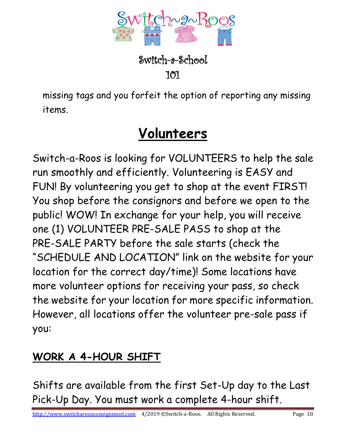

missing tags and you forfeit the option of reporting any missing items.

#### **Volunteers**

Switch-a-Roos is looking for VOLUNTEERS to help the sale run smoothly and efficiently. Volunteering is EASY and FUN! By volunteering you get to shop at the event FIRST! You shop before the consignors and before we open to the public! WOW! In exchange for your help, you will receive one (1) VOLUNTEER PRE-SALE PASS to shop at the PRE-SALE PARTY before the sale starts (check the "SCHEDULE AND LOCATION" link on the website for your location for the correct day/time)! Some locations have more volunteer options for receiving your pass, so check the website for your location for more specific information. However, all locations offer the volunteer pre-sale pass if you:

#### **WORK A 4-HOUR SHIFT**

Shifts are available from the first Set-Up day to the Last Pick-Up Day. You must work a complete 4-hour shift.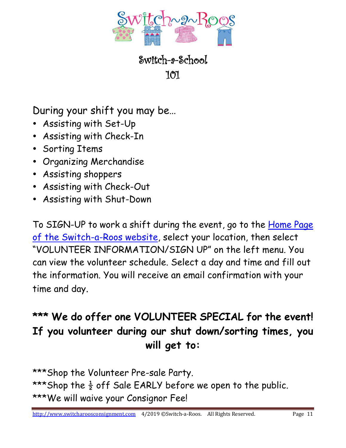

Switch-a-School 101

During your shift you may be…

- Assisting with Set-Up
- Assisting with Check-In
- Sorting Items
- Organizing Merchandise
- Assisting shoppers
- Assisting with Check-Out
- Assisting with Shut-Down

To SIGN-UP to work a shift during the event, go to the [Home Page](http://www.switcharoosconsignment.com/)  [of the Switch-a-Roos website,](http://www.switcharoosconsignment.com/) select your location, then select "VOLUNTEER INFORMATION/SIGN UP" on the left menu. You can view the volunteer schedule. Select a day and time and fill out the information. You will receive an email confirmation with your time and day.

#### **\*\*\* We do offer one VOLUNTEER SPECIAL for the event! If you volunteer during our shut down/sorting times, you will get to:**

\*\*\*Shop the Volunteer Pre-sale Party. \*\*\*Shop the  $\frac{1}{2}$  off Sale EARLY before we open to the public. \*\*\*We will waive your Consignor Fee!